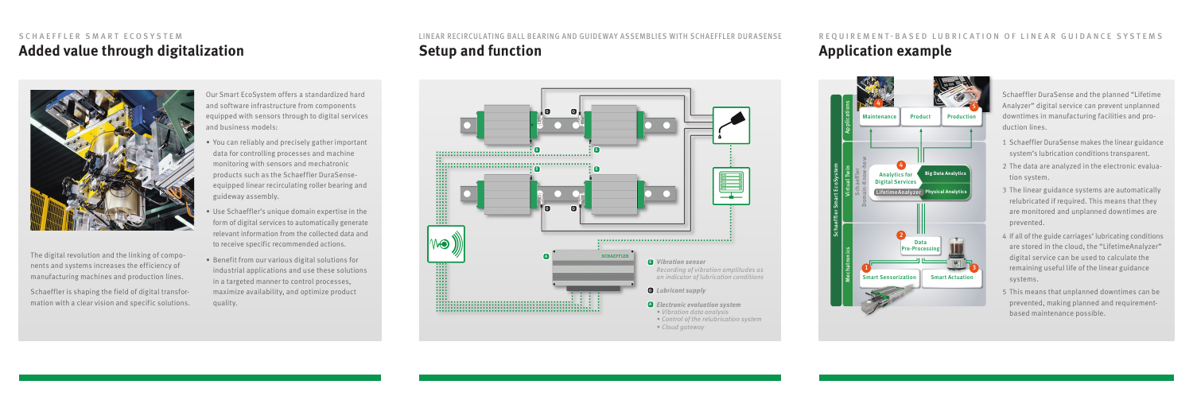### **Added value through digitalization** SCHAEFFLER SMART ECOSYSTEM



The digital revolution and the linking of components and systems increases the efficiency of manufacturing machines and production lines.

Schaeffler is shaping the field of digital transformation with a clear vision and specific solutions. Our Smart EcoSystem offers a standardized hard and software infrastructure from components equipped with sensors through to digital services and business models:

- *•* You can reliably and precisely gather important data for controlling processes and machine monitoring with sensors and mechatronic products such as the Schaeffler DuraSenseequipped linear recirculating roller bearing and guideway assembly.
- *•* Use Schaeffler's unique domain expertise in the form of digital services to automatically generate relevant information from the collected data and to receive specific recommended actions.
- *•* Benefit from our various digital solutions for industrial applications and use these solutions in a targeted manner to control processes, maximize availability, and optimize product quality.

### LINEAR RECIRCULATING BALL BEARING AND GUIDEWAY ASSEMBLIES WITH SCHAEFFLER DURASENSE **Setup and function**

Schaeffler DuraSense and the planned "Lifetime Analyzer" digital service can prevent unplanned downtimes in manufacturing facilities and production lines.

## REQUIREMENT-BASED LUBRICATION OF LINEAR GUIDANCE SYSTEMS **Application example**

- 1 Schaeffler DuraSense makes the linear guidance system's lubrication conditions transparent.
- 2 The data are analyzed in the electronic evaluation system.
- 3 The linear guidance systems are automatically relubricated if required. This means that they are monitored and unplanned downtimes are prevented.
- 4 If all of the guide carriages' lubricating conditions are stored in the cloud, the "LifetimeAnalyzer" digital service can be used to calculate the remaining useful life of the linear guidance systems.
- 5 This means that unplanned downtimes can be prevented, making planned and requirementbased maintenance possible.





- *Control of the relubrication system*
- *Cloud gateway*